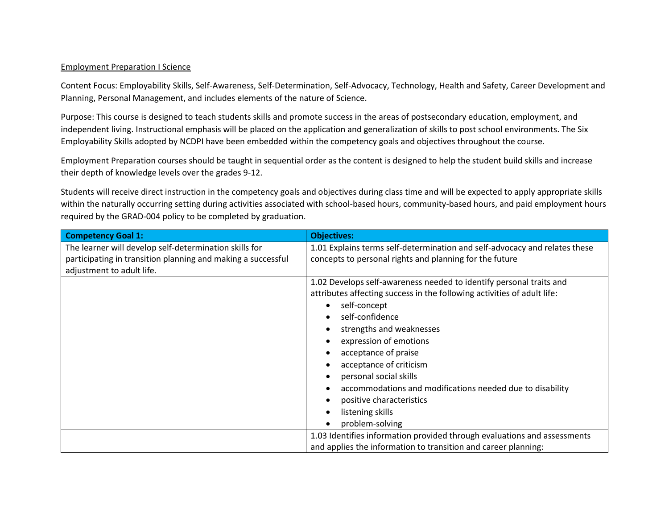## Employment Preparation I Science

Content Focus: Employability Skills, Self-Awareness, Self-Determination, Self-Advocacy, Technology, Health and Safety, Career Development and Planning, Personal Management, and includes elements of the nature of Science.

Purpose: This course is designed to teach students skills and promote success in the areas of postsecondary education, employment, and independent living. Instructional emphasis will be placed on the application and generalization of skills to post school environments. The Six Employability Skills adopted by NCDPI have been embedded within the competency goals and objectives throughout the course.

Employment Preparation courses should be taught in sequential order as the content is designed to help the student build skills and increase their depth of knowledge levels over the grades 9-12.

Students will receive direct instruction in the competency goals and objectives during class time and will be expected to apply appropriate skills within the naturally occurring setting during activities associated with school-based hours, community-based hours, and paid employment hours required by the GRAD-004 policy to be completed by graduation.

| <b>Competency Goal 1:</b>                                    | <b>Objectives:</b>                                                         |
|--------------------------------------------------------------|----------------------------------------------------------------------------|
| The learner will develop self-determination skills for       | 1.01 Explains terms self-determination and self-advocacy and relates these |
| participating in transition planning and making a successful | concepts to personal rights and planning for the future                    |
| adjustment to adult life.                                    |                                                                            |
|                                                              | 1.02 Develops self-awareness needed to identify personal traits and        |
|                                                              | attributes affecting success in the following activities of adult life:    |
|                                                              | self-concept                                                               |
|                                                              | self-confidence                                                            |
|                                                              | strengths and weaknesses                                                   |
|                                                              | expression of emotions                                                     |
|                                                              | acceptance of praise                                                       |
|                                                              | acceptance of criticism                                                    |
|                                                              | personal social skills                                                     |
|                                                              | accommodations and modifications needed due to disability                  |
|                                                              | positive characteristics                                                   |
|                                                              | listening skills                                                           |
|                                                              | problem-solving                                                            |
|                                                              | 1.03 Identifies information provided through evaluations and assessments   |
|                                                              | and applies the information to transition and career planning:             |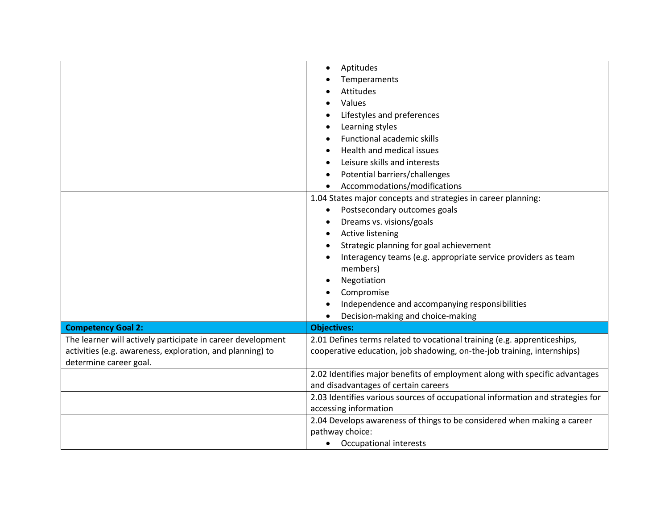|                                                             | Aptitudes<br>$\bullet$                                                         |
|-------------------------------------------------------------|--------------------------------------------------------------------------------|
|                                                             | Temperaments                                                                   |
|                                                             | Attitudes                                                                      |
|                                                             | Values                                                                         |
|                                                             | Lifestyles and preferences                                                     |
|                                                             | Learning styles                                                                |
|                                                             | Functional academic skills                                                     |
|                                                             | Health and medical issues                                                      |
|                                                             | Leisure skills and interests                                                   |
|                                                             | Potential barriers/challenges<br>٠                                             |
|                                                             | Accommodations/modifications                                                   |
|                                                             | 1.04 States major concepts and strategies in career planning:                  |
|                                                             | Postsecondary outcomes goals<br>$\bullet$                                      |
|                                                             | Dreams vs. visions/goals                                                       |
|                                                             | <b>Active listening</b>                                                        |
|                                                             | Strategic planning for goal achievement                                        |
|                                                             | Interagency teams (e.g. appropriate service providers as team                  |
|                                                             | members)                                                                       |
|                                                             | Negotiation                                                                    |
|                                                             | Compromise                                                                     |
|                                                             | Independence and accompanying responsibilities                                 |
|                                                             | Decision-making and choice-making                                              |
| <b>Competency Goal 2:</b>                                   | <b>Objectives:</b>                                                             |
| The learner will actively participate in career development | 2.01 Defines terms related to vocational training (e.g. apprenticeships,       |
| activities (e.g. awareness, exploration, and planning) to   | cooperative education, job shadowing, on-the-job training, internships)        |
| determine career goal.                                      |                                                                                |
|                                                             | 2.02 Identifies major benefits of employment along with specific advantages    |
|                                                             | and disadvantages of certain careers                                           |
|                                                             | 2.03 Identifies various sources of occupational information and strategies for |
|                                                             | accessing information                                                          |
|                                                             | 2.04 Develops awareness of things to be considered when making a career        |
|                                                             | pathway choice:                                                                |
|                                                             | Occupational interests<br>$\bullet$                                            |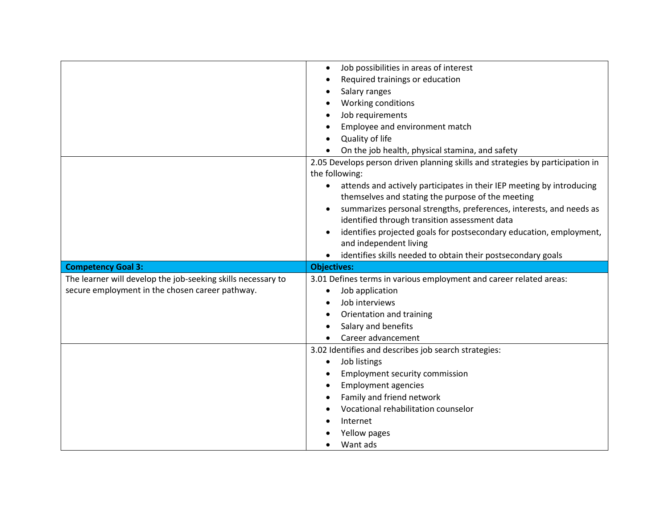|                                                              | Job possibilities in areas of interest<br>$\bullet$                                |
|--------------------------------------------------------------|------------------------------------------------------------------------------------|
|                                                              | Required trainings or education                                                    |
|                                                              | Salary ranges                                                                      |
|                                                              | Working conditions                                                                 |
|                                                              | Job requirements                                                                   |
|                                                              | Employee and environment match                                                     |
|                                                              | Quality of life                                                                    |
|                                                              | On the job health, physical stamina, and safety                                    |
|                                                              | 2.05 Develops person driven planning skills and strategies by participation in     |
|                                                              | the following:                                                                     |
|                                                              | attends and actively participates in their IEP meeting by introducing<br>$\bullet$ |
|                                                              | themselves and stating the purpose of the meeting                                  |
|                                                              | summarizes personal strengths, preferences, interests, and needs as                |
|                                                              | identified through transition assessment data                                      |
|                                                              | identifies projected goals for postsecondary education, employment,                |
|                                                              | and independent living                                                             |
|                                                              |                                                                                    |
|                                                              | identifies skills needed to obtain their postsecondary goals<br>$\bullet$          |
| <b>Competency Goal 3:</b>                                    | <b>Objectives:</b>                                                                 |
| The learner will develop the job-seeking skills necessary to | 3.01 Defines terms in various employment and career related areas:                 |
| secure employment in the chosen career pathway.              | Job application<br>$\bullet$                                                       |
|                                                              | Job interviews                                                                     |
|                                                              | Orientation and training<br>٠                                                      |
|                                                              | Salary and benefits                                                                |
|                                                              | Career advancement                                                                 |
|                                                              | 3.02 Identifies and describes job search strategies:                               |
|                                                              | Job listings<br>$\bullet$                                                          |
|                                                              | <b>Employment security commission</b>                                              |
|                                                              | <b>Employment agencies</b><br>$\bullet$                                            |
|                                                              | Family and friend network                                                          |
|                                                              | Vocational rehabilitation counselor                                                |
|                                                              | Internet                                                                           |
|                                                              | Yellow pages<br>Want ads                                                           |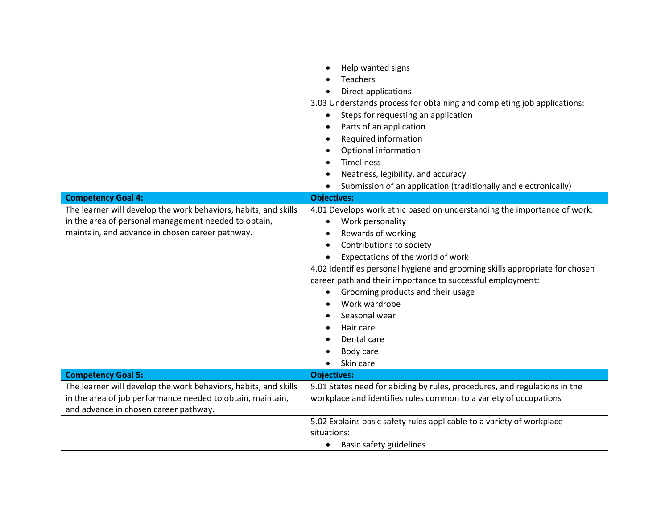|                                                                 | Help wanted signs<br>$\bullet$                                              |
|-----------------------------------------------------------------|-----------------------------------------------------------------------------|
|                                                                 | <b>Teachers</b>                                                             |
|                                                                 | Direct applications                                                         |
|                                                                 | 3.03 Understands process for obtaining and completing job applications:     |
|                                                                 | Steps for requesting an application<br>$\bullet$                            |
|                                                                 | Parts of an application                                                     |
|                                                                 | Required information                                                        |
|                                                                 | Optional information                                                        |
|                                                                 | <b>Timeliness</b>                                                           |
|                                                                 | Neatness, legibility, and accuracy                                          |
|                                                                 | Submission of an application (traditionally and electronically)             |
| <b>Competency Goal 4:</b>                                       | <b>Objectives:</b>                                                          |
| The learner will develop the work behaviors, habits, and skills | 4.01 Develops work ethic based on understanding the importance of work:     |
| in the area of personal management needed to obtain,            | Work personality<br>٠                                                       |
| maintain, and advance in chosen career pathway.                 | Rewards of working<br>٠                                                     |
|                                                                 | Contributions to society<br>$\bullet$                                       |
|                                                                 | Expectations of the world of work<br>$\bullet$                              |
|                                                                 | 4.02 Identifies personal hygiene and grooming skills appropriate for chosen |
|                                                                 | career path and their importance to successful employment:                  |
|                                                                 | Grooming products and their usage<br>٠                                      |
|                                                                 | Work wardrobe                                                               |
|                                                                 | Seasonal wear                                                               |
|                                                                 | Hair care                                                                   |
|                                                                 | Dental care                                                                 |
|                                                                 | Body care<br>٠                                                              |
|                                                                 | Skin care                                                                   |
| <b>Competency Goal 5:</b>                                       | <b>Objectives:</b>                                                          |
| The learner will develop the work behaviors, habits, and skills | 5.01 States need for abiding by rules, procedures, and regulations in the   |
| in the area of job performance needed to obtain, maintain,      | workplace and identifies rules common to a variety of occupations           |
| and advance in chosen career pathway.                           |                                                                             |
|                                                                 | 5.02 Explains basic safety rules applicable to a variety of workplace       |
|                                                                 | situations:                                                                 |
|                                                                 | <b>Basic safety guidelines</b><br>$\bullet$                                 |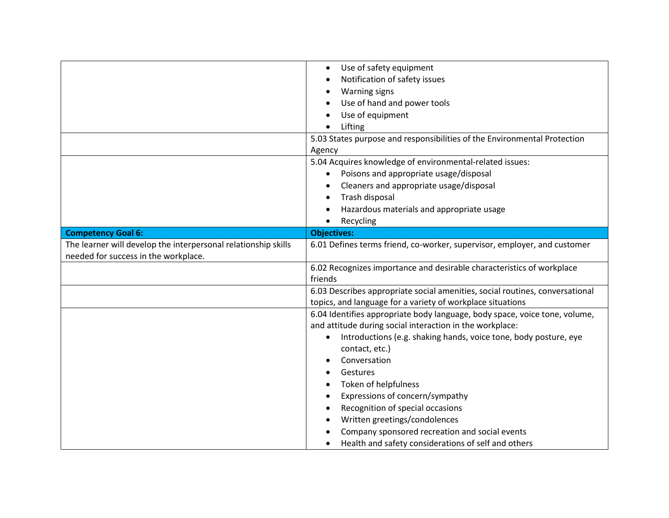|                                                                | Use of safety equipment<br>$\bullet$                                          |
|----------------------------------------------------------------|-------------------------------------------------------------------------------|
|                                                                | Notification of safety issues<br>$\bullet$                                    |
|                                                                | <b>Warning signs</b><br>٠                                                     |
|                                                                | Use of hand and power tools                                                   |
|                                                                | Use of equipment<br>$\bullet$                                                 |
|                                                                | Lifting                                                                       |
|                                                                | 5.03 States purpose and responsibilities of the Environmental Protection      |
|                                                                | Agency                                                                        |
|                                                                | 5.04 Acquires knowledge of environmental-related issues:                      |
|                                                                | Poisons and appropriate usage/disposal                                        |
|                                                                | Cleaners and appropriate usage/disposal                                       |
|                                                                | Trash disposal<br>$\bullet$                                                   |
|                                                                | Hazardous materials and appropriate usage                                     |
|                                                                | Recycling<br>$\bullet$                                                        |
| <b>Competency Goal 6:</b>                                      | <b>Objectives:</b>                                                            |
| The learner will develop the interpersonal relationship skills | 6.01 Defines terms friend, co-worker, supervisor, employer, and customer      |
| needed for success in the workplace.                           |                                                                               |
|                                                                | 6.02 Recognizes importance and desirable characteristics of workplace         |
|                                                                | friends                                                                       |
|                                                                | 6.03 Describes appropriate social amenities, social routines, conversational  |
|                                                                | topics, and language for a variety of workplace situations                    |
|                                                                | 6.04 Identifies appropriate body language, body space, voice tone, volume,    |
|                                                                | and attitude during social interaction in the workplace:                      |
|                                                                | Introductions (e.g. shaking hands, voice tone, body posture, eye<br>$\bullet$ |
|                                                                | contact, etc.)                                                                |
|                                                                | Conversation                                                                  |
|                                                                | Gestures                                                                      |
|                                                                | Token of helpfulness                                                          |
|                                                                | Expressions of concern/sympathy<br>٠                                          |
|                                                                | Recognition of special occasions                                              |
|                                                                | Written greetings/condolences                                                 |
|                                                                | Company sponsored recreation and social events                                |
|                                                                | Health and safety considerations of self and others<br>$\bullet$              |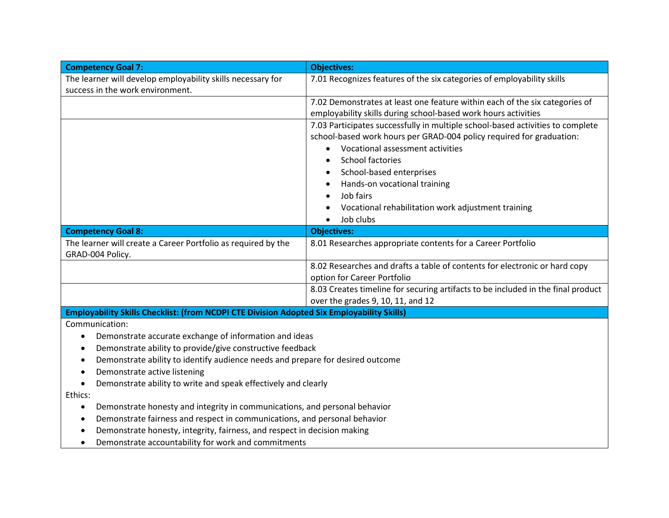| <b>Competency Goal 7:</b>                                                                  | <b>Objectives:</b>                                                               |  |
|--------------------------------------------------------------------------------------------|----------------------------------------------------------------------------------|--|
| The learner will develop employability skills necessary for                                | 7.01 Recognizes features of the six categories of employability skills           |  |
| success in the work environment.                                                           |                                                                                  |  |
|                                                                                            | 7.02 Demonstrates at least one feature within each of the six categories of      |  |
|                                                                                            | employability skills during school-based work hours activities                   |  |
|                                                                                            | 7.03 Participates successfully in multiple school-based activities to complete   |  |
|                                                                                            | school-based work hours per GRAD-004 policy required for graduation:             |  |
|                                                                                            | Vocational assessment activities<br>$\bullet$                                    |  |
|                                                                                            | <b>School factories</b><br>$\bullet$                                             |  |
|                                                                                            | School-based enterprises<br>$\bullet$                                            |  |
|                                                                                            | Hands-on vocational training                                                     |  |
|                                                                                            | Job fairs                                                                        |  |
|                                                                                            | Vocational rehabilitation work adjustment training                               |  |
|                                                                                            | Job clubs<br>$\bullet$                                                           |  |
| <b>Competency Goal 8:</b>                                                                  | <b>Objectives:</b>                                                               |  |
| The learner will create a Career Portfolio as required by the                              | 8.01 Researches appropriate contents for a Career Portfolio                      |  |
| GRAD-004 Policy.                                                                           |                                                                                  |  |
|                                                                                            | 8.02 Researches and drafts a table of contents for electronic or hard copy       |  |
|                                                                                            | option for Career Portfolio                                                      |  |
|                                                                                            | 8.03 Creates timeline for securing artifacts to be included in the final product |  |
|                                                                                            | over the grades 9, 10, 11, and 12                                                |  |
| Employability Skills Checklist: (from NCDPI CTE Division Adopted Six Employability Skills) |                                                                                  |  |
| Communication:                                                                             |                                                                                  |  |
| Demonstrate accurate exchange of information and ideas<br>$\bullet$                        |                                                                                  |  |
| Demonstrate ability to provide/give constructive feedback<br>$\bullet$                     |                                                                                  |  |
| Demonstrate ability to identify audience needs and prepare for desired outcome<br>٠        |                                                                                  |  |
| Demonstrate active listening<br>$\bullet$                                                  |                                                                                  |  |
| Demonstrate ability to write and speak effectively and clearly<br>$\bullet$                |                                                                                  |  |
| Ethics:                                                                                    |                                                                                  |  |
| Demonstrate honesty and integrity in communications, and personal behavior<br>٠            |                                                                                  |  |
| Demonstrate fairness and respect in communications, and personal behavior                  |                                                                                  |  |
| Demonstrate honesty, integrity, fairness, and respect in decision making<br>٠              |                                                                                  |  |

• Demonstrate accountability for work and commitments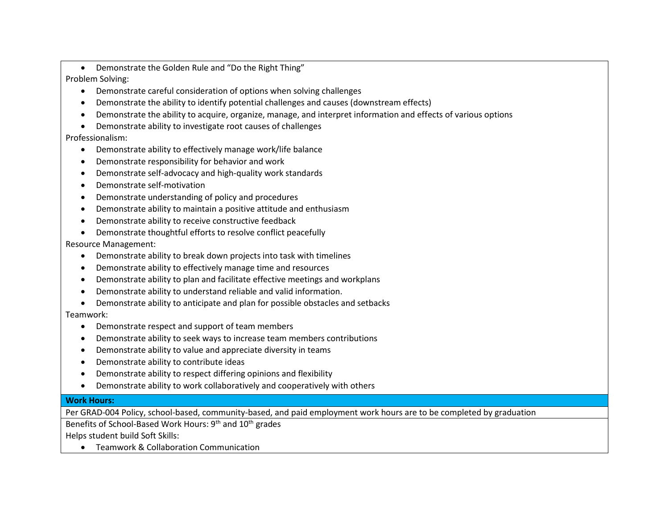• Demonstrate the Golden Rule and "Do the Right Thing"

Problem Solving:

- Demonstrate careful consideration of options when solving challenges
- Demonstrate the ability to identify potential challenges and causes (downstream effects)
- Demonstrate the ability to acquire, organize, manage, and interpret information and effects of various options
- Demonstrate ability to investigate root causes of challenges

## Professionalism:

- Demonstrate ability to effectively manage work/life balance
- Demonstrate responsibility for behavior and work
- Demonstrate self-advocacy and high-quality work standards
- Demonstrate self-motivation
- Demonstrate understanding of policy and procedures
- Demonstrate ability to maintain a positive attitude and enthusiasm
- Demonstrate ability to receive constructive feedback
- Demonstrate thoughtful efforts to resolve conflict peacefully

Resource Management:

- Demonstrate ability to break down projects into task with timelines
- Demonstrate ability to effectively manage time and resources
- Demonstrate ability to plan and facilitate effective meetings and workplans
- Demonstrate ability to understand reliable and valid information.
- Demonstrate ability to anticipate and plan for possible obstacles and setbacks

## Teamwork:

- Demonstrate respect and support of team members
- Demonstrate ability to seek ways to increase team members contributions
- Demonstrate ability to value and appreciate diversity in teams
- Demonstrate ability to contribute ideas
- Demonstrate ability to respect differing opinions and flexibility
- Demonstrate ability to work collaboratively and cooperatively with others

## **Work Hours:**

Per GRAD-004 Policy, school-based, community-based, and paid employment work hours are to be completed by graduation

Benefits of School-Based Work Hours: 9<sup>th</sup> and 10<sup>th</sup> grades

Helps student build Soft Skills:

• Teamwork & Collaboration Communication